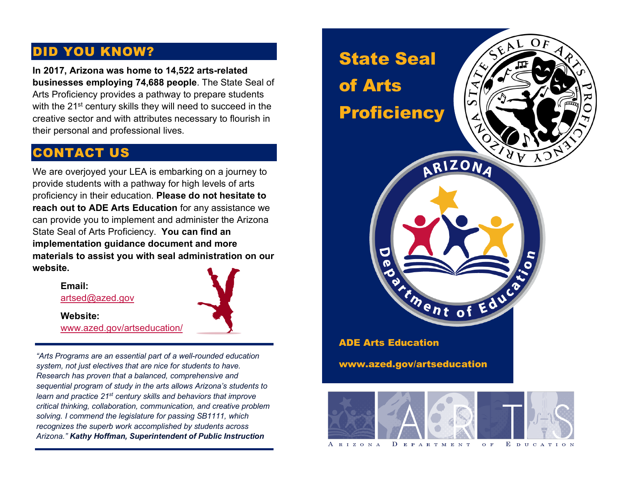## DID YOU KNOW?

**In 2017, Arizona was home to 14,522 arts-related businesses employing 74,688 people**. The State Seal of Arts Proficiency provides a pathway to prepare students with the 21<sup>st</sup> century skills they will need to succeed in the creative sector and with attributes necessary to flourish in their personal and professional lives.

## CONTACT US

We are overjoyed your LEA is embarking on a journey to provide students with a pathway for high levels of arts proficiency in their education. **Please do not hesitate to reach out to ADE Arts Education** for any assistance we can provide you to implement and administer the Arizona State Seal of Arts Proficiency. **You can find an implementation guidance document and more materials to assist you with seal administration on our website.**

> **Email:** [artsed@azed.gov](mailto:artsed@azed.gov)



**Website:** [www.azed.gov/artseducation/](http://www.azed.gov/artseducation/)

*"Arts Programs are an essential part of a well-rounded education system, not just electives that are nice for students to have. Research has proven that a balanced, comprehensive and sequential program of study in the arts allows Arizona's students to learn and practice 21st century skills and behaviors that improve critical thinking, collaboration, communication, and creative problem solving. I commend the legislature for passing SB1111, which recognizes the superb work accomplished by students across Arizona." Kathy Hoffman, Superintendent of Public Instruction*